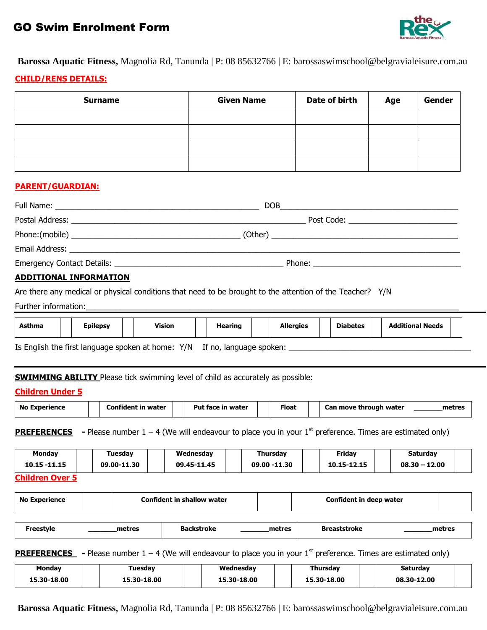# GO Swim Enrolment Form



Barossa Aquatic Fitness, Magnolia Rd, Tanunda | P: 08 85632766 | E: barossaswimschool@belgravialeisure.com.au

# **CHILD/RENS DETAILS:**

| <b>Surname</b> | <b>Given Name</b> | Date of birth | Age | <b>Gender</b> |
|----------------|-------------------|---------------|-----|---------------|
|                |                   |               |     |               |
|                |                   |               |     |               |
|                |                   |               |     |               |
|                |                   |               |     |               |

# **PARENT/GUARDIAN:**

| <b>DOB</b><br><u> 1980 - Jan Samuel Barbara, margaret e populazion del control del control del control de la control de la con</u> |  |
|------------------------------------------------------------------------------------------------------------------------------------|--|
|                                                                                                                                    |  |
|                                                                                                                                    |  |
|                                                                                                                                    |  |
|                                                                                                                                    |  |
|                                                                                                                                    |  |

# **ADDITIONAL INFORMATION**

Are there any medical or physical conditions that need to be brought to the attention of the Teacher? Y/N

Further information:

| <b>Hearing</b><br><b>Additional Needs</b><br><b>Epilepsy</b><br>Vision<br><b>Diabetes</b><br><b>Allergies</b><br><b>Asthma</b> |
|--------------------------------------------------------------------------------------------------------------------------------|
|--------------------------------------------------------------------------------------------------------------------------------|

Is English the first language spoken at home: Y/N If no, language spoken: \_\_\_\_\_\_\_\_\_\_\_\_\_\_\_\_\_\_\_\_\_\_\_\_\_\_\_\_\_\_\_\_\_\_\_\_\_\_\_\_\_\_

**SWIMMING ABILITY** Please tick swimming level of child as accurately as possible:

# **Children Under 5**

|  | No<br>Experience |  | Confident in water |  | Put face<br>. in water |  | Float |  | Can move through water | metres |
|--|------------------|--|--------------------|--|------------------------|--|-------|--|------------------------|--------|
|--|------------------|--|--------------------|--|------------------------|--|-------|--|------------------------|--------|

**PREFERENCES** - Please number  $1 - 4$  (We will endeavour to place you in your  $1<sup>st</sup>$  preference. Times are estimated only)

| Monday            | <b>Tuesday</b> | Wednesday   | Thursday     | Friday      | Saturday        |  |
|-------------------|----------------|-------------|--------------|-------------|-----------------|--|
| 10.15 -11.15      | 09.00-11.30    | 09.45-11.45 | 09.00 -11.30 | 10.15-12.15 | $08.30 - 12.00$ |  |
| <b>ALTER AREA</b> |                |             |              |             |                 |  |

**Children Over 5**

| <b>No Experience</b> |        | <b>Confident in shallow water</b> |        | Confident in deep water |        |
|----------------------|--------|-----------------------------------|--------|-------------------------|--------|
|                      |        |                                   |        |                         |        |
| Freestyle            | metres | <b>Backstroke</b>                 | metres | <b>Breaststroke</b>     | metres |

**PREFERENCES** - Please number  $1 - 4$  (We will endeavour to place you in your  $1<sup>st</sup>$  preference. Times are estimated only)

| Monday      | <b>Tuesdav</b> | Wednesday   | Thursdav    | <b>Saturdav</b> |  |
|-------------|----------------|-------------|-------------|-----------------|--|
| 15.30-18.00 | 15.30-18.00    | 15.30-18.00 | 15.30-18.00 | 08.30-12.00     |  |

**Barossa Aquatic Fitness,** Magnolia Rd, Tanunda | P: 08 85632766 | E: barossaswimschool@belgravialeisure.com.au